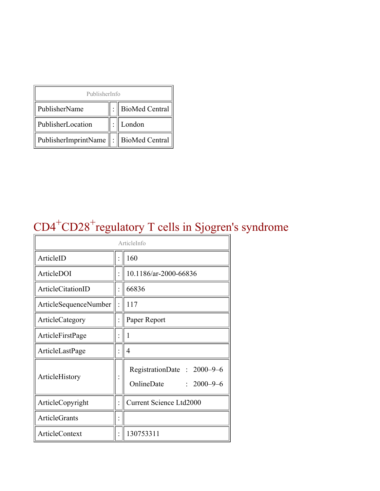| PublisherInfo                                   |  |                    |  |  |
|-------------------------------------------------|--|--------------------|--|--|
| PublisherName                                   |  | :   BioMed Central |  |  |
| PublisherLocation                               |  | London             |  |  |
| PublisherImprintName $\ \cdot\ $ BioMed Central |  |                    |  |  |

### CD4<sup>+</sup>CD28<sup>+</sup>regulatory T cells in Sjogren's syndrome

| ArticleInfo                  |                |                                                              |
|------------------------------|----------------|--------------------------------------------------------------|
| ArticleID                    |                | 160                                                          |
| ArticleDOI                   |                | 10.1186/ar-2000-66836                                        |
| ArticleCitationID            |                | 66836                                                        |
| <b>ArticleSequenceNumber</b> |                | 117                                                          |
| ArticleCategory              | $\ddot{\cdot}$ | Paper Report                                                 |
| ArticleFirstPage             |                | 1                                                            |
| ArticleLastPage              |                | 4                                                            |
| ArticleHistory               |                | RegistrationDate: 2000–9–6<br>OnlineDate<br>$: 2000 - 9 - 6$ |
| ArticleCopyright             |                | <b>Current Science Ltd2000</b>                               |
| <b>ArticleGrants</b>         |                |                                                              |
| <b>ArticleContext</b>        |                | 130753311                                                    |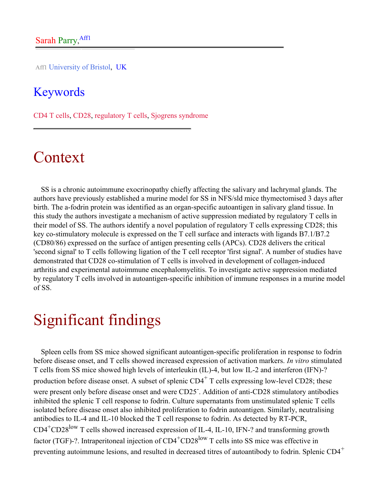Aff1 University of Bristol, UK

#### Keywords

CD4 T cells, CD28, regulatory T cells, Sjogrens syndrome

## Context

SS is a chronic autoimmune exocrinopathy chiefly affecting the salivary and lachrymal glands. The authors have previously established a murine model for SS in NFS/sld mice thymectomised 3 days after birth. The a-fodrin protein was identified as an organ-specific autoantigen in salivary gland tissue. In this study the authors investigate a mechanism of active suppression mediated by regulatory T cells in their model of SS. The authors identify a novel population of regulatory T cells expressing CD28; this key co-stimulatory molecule is expressed on the T cell surface and interacts with ligands B7.1/B7.2 (CD80/86) expressed on the surface of antigen presenting cells (APCs). CD28 delivers the critical 'second signal' to T cells following ligation of the T cell receptor 'first signal'. A number of studies have demonstrated that CD28 co-stimulation of T cells is involved in development of collagen-induced arthritis and experimental autoimmune encephalomyelitis. To investigate active suppression mediated by regulatory T cells involved in autoantigen-specific inhibition of immune responses in a murine model of SS.

### Significant findings

Spleen cells from SS mice showed significant autoantigen-specific proliferation in response to fodrin before disease onset, and T cells showed increased expression of activation markers. *In vitro* stimulated T cells from SS mice showed high levels of interleukin (IL)-4, but low IL-2 and interferon (IFN)-? production before disease onset. A subset of splenic  $CD4<sup>+</sup>$  T cells expressing low-level CD28; these were present only before disease onset and were CD25<sup>-</sup>. Addition of anti-CD28 stimulatory antibodies inhibited the splenic T cell response to fodrin. Culture supernatants from unstimulated splenic T cells isolated before disease onset also inhibited proliferation to fodrin autoantigen. Similarly, neutralising antibodies to IL-4 and IL-10 blocked the T cell response to fodrin. As detected by RT-PCR, CD4+CD28low T cells showed increased expression of IL-4, IL-10, IFN-? and transforming growth factor (TGF)-?. Intraperitoneal injection of  $CD4^+CD28^{\text{low}}$  T cells into SS mice was effective in preventing autoimmune lesions, and resulted in decreased titres of autoantibody to fodrin. Splenic CD4<sup>+</sup>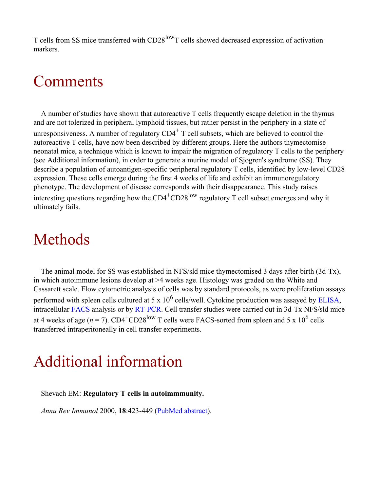T cells from SS mice transferred with CD28<sup>low</sup>T cells showed decreased expression of activation markers.

### Comments

A number of studies have shown that autoreactive T cells frequently escape deletion in the thymus and are not tolerized in peripheral lymphoid tissues, but rather persist in the periphery in a state of unresponsiveness. A number of regulatory  $CD4^+$  T cell subsets, which are believed to control the autoreactive T cells, have now been described by different groups. Here the authors thymectomise neonatal mice, a technique which is known to impair the migration of regulatory T cells to the periphery (see Additional information), in order to generate a murine model of Sjogren's syndrome (SS). They describe a population of autoantigen-specific peripheral regulatory T cells, identified by low-level CD28 expression. These cells emerge during the first 4 weeks of life and exhibit an immunoregulatory phenotype. The development of disease corresponds with their disappearance. This study raises interesting questions regarding how the  $CD4^+CD28^{\text{low}}$  regulatory T cell subset emerges and why it ultimately fails.

# Methods

The animal model for SS was established in NFS/sld mice thymectomised 3 days after birth (3d-Tx), in which autoimmune lesions develop at >4 weeks age. Histology was graded on the White and Cassarett scale. Flow cytometric analysis of cells was by standard protocols, as were proliferation assays performed with spleen cells cultured at 5 x  $10^6$  cells/well. Cytokine production was assayed by [ELISA,](http://arthritis-research.com/glossary/?letter=E&referrer=) intracellular [FACS](http://arthritis-research.com/glossary/?letter=F&referrer=) analysis or by [RT-PCR.](http://arthritis-research.com/glossary/?letter=R&referrer=) Cell transfer studies were carried out in 3d-Tx NFS/sld mice at 4 weeks of age ( $n = 7$ ). CD4<sup>+</sup>CD28<sup>low</sup> T cells were FACS-sorted from spleen and 5 x 10<sup>6</sup> cells transferred intraperitoneally in cell transfer experiments.

# Additional information

Shevach EM: **Regulatory T cells in autoimmmunity.**

*Annu Rev Immunol* 2000, **18**:423-449 [\(PubMed abstract](http://www.ncbi.nlm.nih.gov/entrez/query.fcgi?cmd=Retrieve&db=PubMed&list_uids=10837065&dopt=Abstract)).